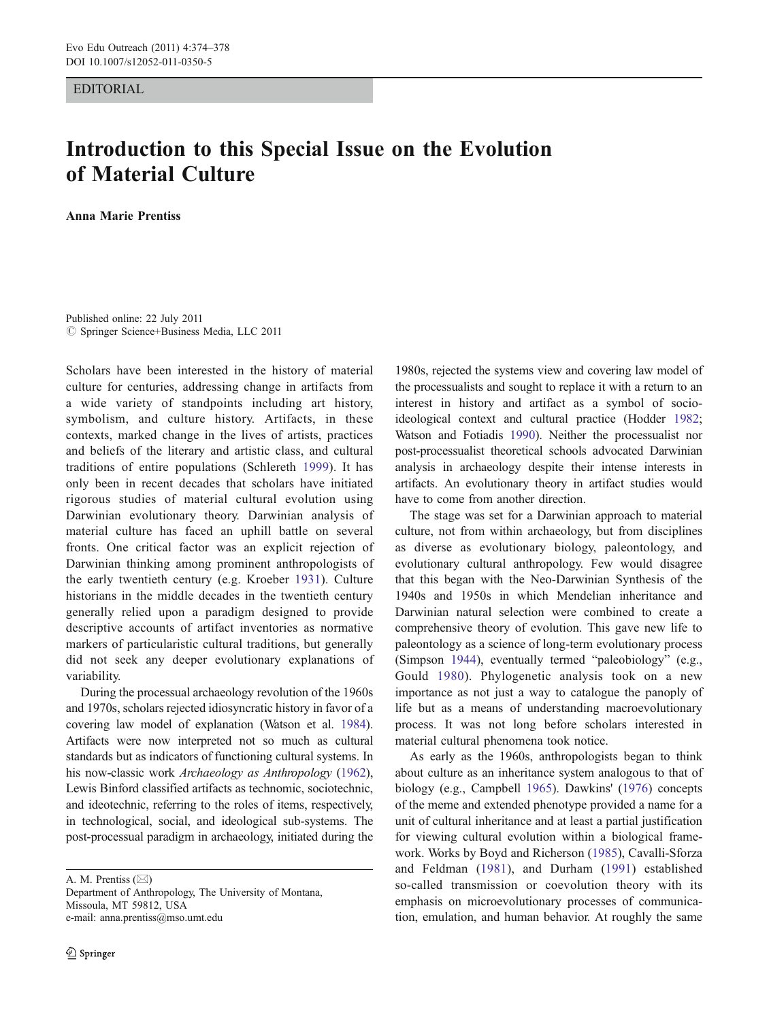EDITORIAL

# Introduction to this Special Issue on the Evolution of Material Culture

Anna Marie Prentiss

Published online: 22 July 2011  $©$  Springer Science+Business Media, LLC 2011

Scholars have been interested in the history of material culture for centuries, addressing change in artifacts from a wide variety of standpoints including art history, symbolism, and culture history. Artifacts, in these contexts, marked change in the lives of artists, practices and beliefs of the literary and artistic class, and cultural traditions of entire populations (Schlereth [1999\)](#page-4-0). It has only been in recent decades that scholars have initiated rigorous studies of material cultural evolution using Darwinian evolutionary theory. Darwinian analysis of material culture has faced an uphill battle on several fronts. One critical factor was an explicit rejection of Darwinian thinking among prominent anthropologists of the early twentieth century (e.g. Kroeber [1931\)](#page-4-0). Culture historians in the middle decades in the twentieth century generally relied upon a paradigm designed to provide descriptive accounts of artifact inventories as normative markers of particularistic cultural traditions, but generally did not seek any deeper evolutionary explanations of variability.

During the processual archaeology revolution of the 1960s and 1970s, scholars rejected idiosyncratic history in favor of a covering law model of explanation (Watson et al. [1984\)](#page-4-0). Artifacts were now interpreted not so much as cultural standards but as indicators of functioning cultural systems. In his now-classic work Archaeology as Anthropology ([1962\)](#page-3-0), Lewis Binford classified artifacts as technomic, sociotechnic, and ideotechnic, referring to the roles of items, respectively, in technological, social, and ideological sub-systems. The post-processual paradigm in archaeology, initiated during the

A. M. Prentiss  $(\boxtimes)$ 

Department of Anthropology, The University of Montana, Missoula, MT 59812, USA e-mail: anna.prentiss@mso.umt.edu

1980s, rejected the systems view and covering law model of the processualists and sought to replace it with a return to an interest in history and artifact as a symbol of socioideological context and cultural practice (Hodder [1982;](#page-4-0) Watson and Fotiadis [1990\)](#page-4-0). Neither the processualist nor post-processualist theoretical schools advocated Darwinian analysis in archaeology despite their intense interests in artifacts. An evolutionary theory in artifact studies would have to come from another direction.

The stage was set for a Darwinian approach to material culture, not from within archaeology, but from disciplines as diverse as evolutionary biology, paleontology, and evolutionary cultural anthropology. Few would disagree that this began with the Neo-Darwinian Synthesis of the 1940s and 1950s in which Mendelian inheritance and Darwinian natural selection were combined to create a comprehensive theory of evolution. This gave new life to paleontology as a science of long-term evolutionary process (Simpson [1944](#page-4-0)), eventually termed "paleobiology" (e.g., Gould [1980\)](#page-4-0). Phylogenetic analysis took on a new importance as not just a way to catalogue the panoply of life but as a means of understanding macroevolutionary process. It was not long before scholars interested in material cultural phenomena took notice.

As early as the 1960s, anthropologists began to think about culture as an inheritance system analogous to that of biology (e.g., Campbell [1965\)](#page-3-0). Dawkins' [\(1976](#page-3-0)) concepts of the meme and extended phenotype provided a name for a unit of cultural inheritance and at least a partial justification for viewing cultural evolution within a biological framework. Works by Boyd and Richerson ([1985\)](#page-3-0), Cavalli-Sforza and Feldman [\(1981\)](#page-3-0), and Durham ([1991](#page-3-0)) established so-called transmission or coevolution theory with its emphasis on microevolutionary processes of communication, emulation, and human behavior. At roughly the same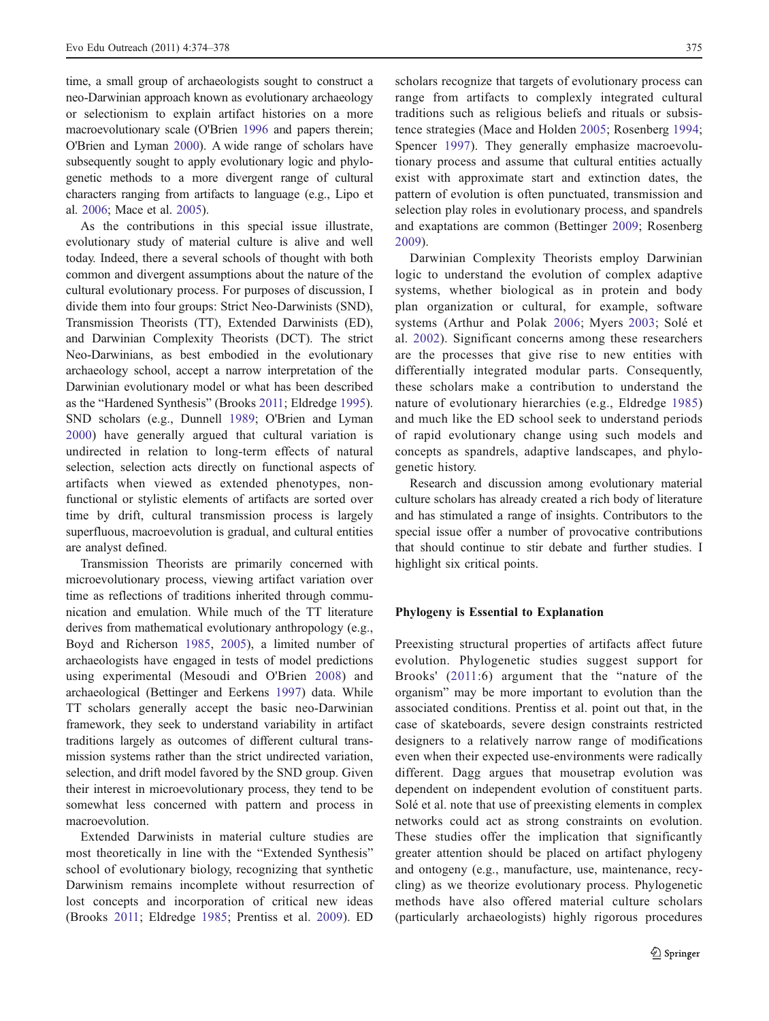time, a small group of archaeologists sought to construct a neo-Darwinian approach known as evolutionary archaeology or selectionism to explain artifact histories on a more macroevolutionary scale (O'Brien [1996](#page-4-0) and papers therein; O'Brien and Lyman [2000](#page-4-0)). A wide range of scholars have subsequently sought to apply evolutionary logic and phylogenetic methods to a more divergent range of cultural characters ranging from artifacts to language (e.g., Lipo et al. [2006](#page-4-0); Mace et al. [2005](#page-4-0)).

As the contributions in this special issue illustrate, evolutionary study of material culture is alive and well today. Indeed, there a several schools of thought with both common and divergent assumptions about the nature of the cultural evolutionary process. For purposes of discussion, I divide them into four groups: Strict Neo-Darwinists (SND), Transmission Theorists (TT), Extended Darwinists (ED), and Darwinian Complexity Theorists (DCT). The strict Neo-Darwinians, as best embodied in the evolutionary archaeology school, accept a narrow interpretation of the Darwinian evolutionary model or what has been described as the "Hardened Synthesis" (Brooks [2011](#page-3-0); Eldredge [1995](#page-4-0)). SND scholars (e.g., Dunnell [1989](#page-3-0); O'Brien and Lyman [2000](#page-4-0)) have generally argued that cultural variation is undirected in relation to long-term effects of natural selection, selection acts directly on functional aspects of artifacts when viewed as extended phenotypes, nonfunctional or stylistic elements of artifacts are sorted over time by drift, cultural transmission process is largely superfluous, macroevolution is gradual, and cultural entities are analyst defined.

Transmission Theorists are primarily concerned with microevolutionary process, viewing artifact variation over time as reflections of traditions inherited through communication and emulation. While much of the TT literature derives from mathematical evolutionary anthropology (e.g., Boyd and Richerson [1985](#page-3-0), [2005](#page-3-0)), a limited number of archaeologists have engaged in tests of model predictions using experimental (Mesoudi and O'Brien [2008\)](#page-4-0) and archaeological (Bettinger and Eerkens [1997](#page-3-0)) data. While TT scholars generally accept the basic neo-Darwinian framework, they seek to understand variability in artifact traditions largely as outcomes of different cultural transmission systems rather than the strict undirected variation, selection, and drift model favored by the SND group. Given their interest in microevolutionary process, they tend to be somewhat less concerned with pattern and process in macroevolution.

Extended Darwinists in material culture studies are most theoretically in line with the "Extended Synthesis" school of evolutionary biology, recognizing that synthetic Darwinism remains incomplete without resurrection of lost concepts and incorporation of critical new ideas (Brooks [2011](#page-3-0); Eldredge [1985](#page-3-0); Prentiss et al. [2009\)](#page-4-0). ED

scholars recognize that targets of evolutionary process can range from artifacts to complexly integrated cultural traditions such as religious beliefs and rituals or subsistence strategies (Mace and Holden [2005;](#page-4-0) Rosenberg [1994;](#page-4-0) Spencer [1997](#page-4-0)). They generally emphasize macroevolutionary process and assume that cultural entities actually exist with approximate start and extinction dates, the pattern of evolution is often punctuated, transmission and selection play roles in evolutionary process, and spandrels and exaptations are common (Bettinger [2009;](#page-3-0) Rosenberg [2009](#page-4-0)).

Darwinian Complexity Theorists employ Darwinian logic to understand the evolution of complex adaptive systems, whether biological as in protein and body plan organization or cultural, for example, software systems (Arthur and Polak [2006;](#page-3-0) Myers [2003;](#page-4-0) Solé et al. [2002\)](#page-4-0). Significant concerns among these researchers are the processes that give rise to new entities with differentially integrated modular parts. Consequently, these scholars make a contribution to understand the nature of evolutionary hierarchies (e.g., Eldredge [1985](#page-3-0)) and much like the ED school seek to understand periods of rapid evolutionary change using such models and concepts as spandrels, adaptive landscapes, and phylogenetic history.

Research and discussion among evolutionary material culture scholars has already created a rich body of literature and has stimulated a range of insights. Contributors to the special issue offer a number of provocative contributions that should continue to stir debate and further studies. I highlight six critical points.

#### Phylogeny is Essential to Explanation

Preexisting structural properties of artifacts affect future evolution. Phylogenetic studies suggest support for Brooks' ([2011](#page-3-0):6) argument that the "nature of the organism" may be more important to evolution than the associated conditions. Prentiss et al. point out that, in the case of skateboards, severe design constraints restricted designers to a relatively narrow range of modifications even when their expected use-environments were radically different. Dagg argues that mousetrap evolution was dependent on independent evolution of constituent parts. Solé et al. note that use of preexisting elements in complex networks could act as strong constraints on evolution. These studies offer the implication that significantly greater attention should be placed on artifact phylogeny and ontogeny (e.g., manufacture, use, maintenance, recycling) as we theorize evolutionary process. Phylogenetic methods have also offered material culture scholars (particularly archaeologists) highly rigorous procedures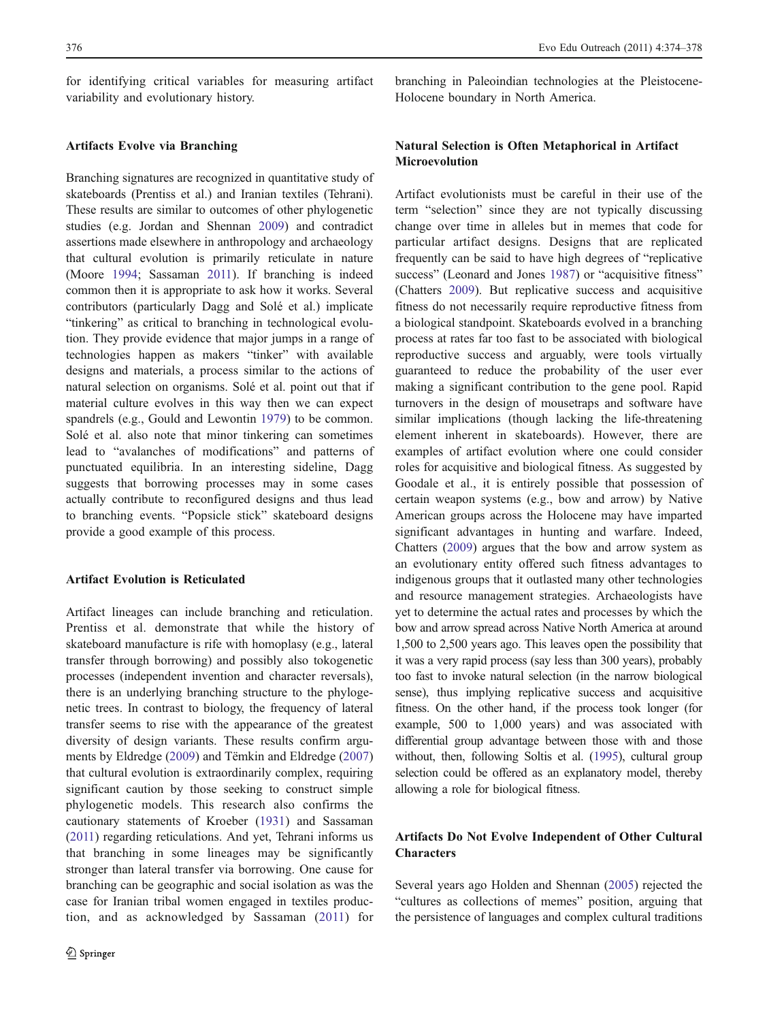for identifying critical variables for measuring artifact variability and evolutionary history.

#### Artifacts Evolve via Branching

Branching signatures are recognized in quantitative study of skateboards (Prentiss et al.) and Iranian textiles (Tehrani). These results are similar to outcomes of other phylogenetic studies (e.g. Jordan and Shennan [2009](#page-4-0)) and contradict assertions made elsewhere in anthropology and archaeology that cultural evolution is primarily reticulate in nature (Moore [1994;](#page-4-0) Sassaman [2011\)](#page-4-0). If branching is indeed common then it is appropriate to ask how it works. Several contributors (particularly Dagg and Solé et al.) implicate "tinkering" as critical to branching in technological evolution. They provide evidence that major jumps in a range of technologies happen as makers "tinker" with available designs and materials, a process similar to the actions of natural selection on organisms. Solé et al. point out that if material culture evolves in this way then we can expect spandrels (e.g., Gould and Lewontin [1979\)](#page-4-0) to be common. Solé et al. also note that minor tinkering can sometimes lead to "avalanches of modifications" and patterns of punctuated equilibria. In an interesting sideline, Dagg suggests that borrowing processes may in some cases actually contribute to reconfigured designs and thus lead to branching events. "Popsicle stick" skateboard designs provide a good example of this process.

## Artifact Evolution is Reticulated

Artifact lineages can include branching and reticulation. Prentiss et al. demonstrate that while the history of skateboard manufacture is rife with homoplasy (e.g., lateral transfer through borrowing) and possibly also tokogenetic processes (independent invention and character reversals), there is an underlying branching structure to the phylogenetic trees. In contrast to biology, the frequency of lateral transfer seems to rise with the appearance of the greatest diversity of design variants. These results confirm arguments by Eldredge [\(2009](#page-4-0)) and Tëmkin and Eldredge ([2007\)](#page-4-0) that cultural evolution is extraordinarily complex, requiring significant caution by those seeking to construct simple phylogenetic models. This research also confirms the cautionary statements of Kroeber [\(1931](#page-4-0)) and Sassaman [\(2011](#page-4-0)) regarding reticulations. And yet, Tehrani informs us that branching in some lineages may be significantly stronger than lateral transfer via borrowing. One cause for branching can be geographic and social isolation as was the case for Iranian tribal women engaged in textiles production, and as acknowledged by Sassaman [\(2011](#page-4-0)) for

branching in Paleoindian technologies at the Pleistocene-Holocene boundary in North America.

## Natural Selection is Often Metaphorical in Artifact Microevolution

Artifact evolutionists must be careful in their use of the term "selection" since they are not typically discussing change over time in alleles but in memes that code for particular artifact designs. Designs that are replicated frequently can be said to have high degrees of "replicative success" (Leonard and Jones [1987\)](#page-4-0) or "acquisitive fitness" (Chatters [2009\)](#page-3-0). But replicative success and acquisitive fitness do not necessarily require reproductive fitness from a biological standpoint. Skateboards evolved in a branching process at rates far too fast to be associated with biological reproductive success and arguably, were tools virtually guaranteed to reduce the probability of the user ever making a significant contribution to the gene pool. Rapid turnovers in the design of mousetraps and software have similar implications (though lacking the life-threatening element inherent in skateboards). However, there are examples of artifact evolution where one could consider roles for acquisitive and biological fitness. As suggested by Goodale et al., it is entirely possible that possession of certain weapon systems (e.g., bow and arrow) by Native American groups across the Holocene may have imparted significant advantages in hunting and warfare. Indeed, Chatters [\(2009](#page-3-0)) argues that the bow and arrow system as an evolutionary entity offered such fitness advantages to indigenous groups that it outlasted many other technologies and resource management strategies. Archaeologists have yet to determine the actual rates and processes by which the bow and arrow spread across Native North America at around 1,500 to 2,500 years ago. This leaves open the possibility that it was a very rapid process (say less than 300 years), probably too fast to invoke natural selection (in the narrow biological sense), thus implying replicative success and acquisitive fitness. On the other hand, if the process took longer (for example, 500 to 1,000 years) and was associated with differential group advantage between those with and those without, then, following Soltis et al. ([1995\)](#page-4-0), cultural group selection could be offered as an explanatory model, thereby allowing a role for biological fitness.

## Artifacts Do Not Evolve Independent of Other Cultural **Characters**

Several years ago Holden and Shennan [\(2005](#page-4-0)) rejected the "cultures as collections of memes" position, arguing that the persistence of languages and complex cultural traditions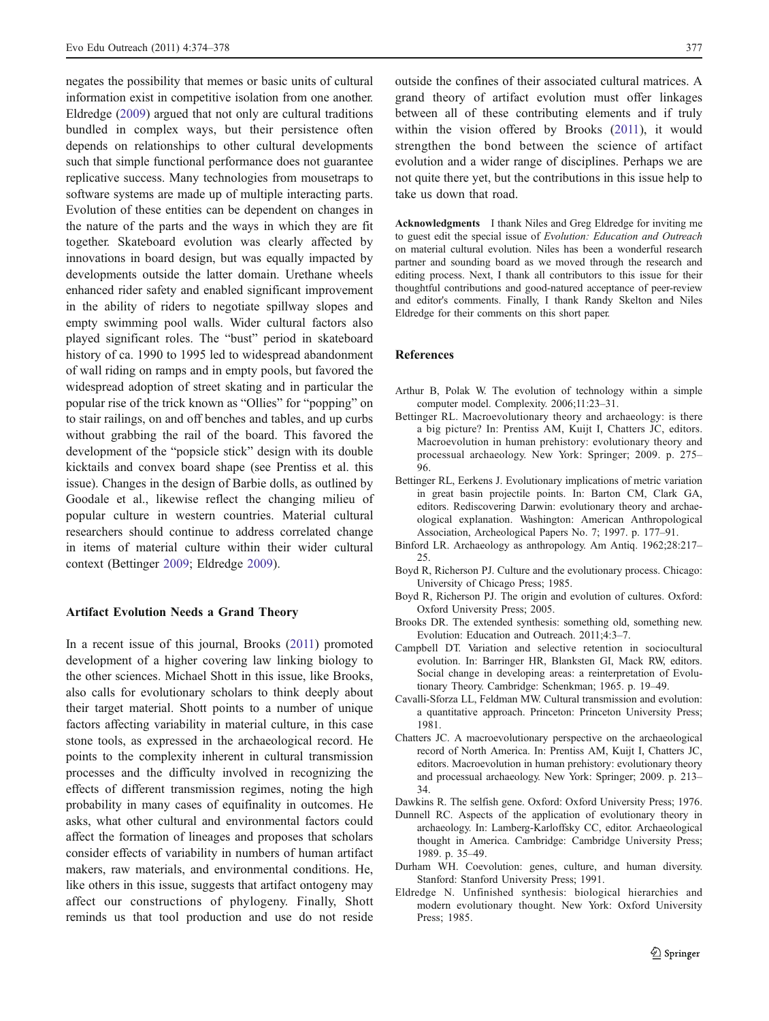<span id="page-3-0"></span>negates the possibility that memes or basic units of cultural information exist in competitive isolation from one another. Eldredge [\(2009\)](#page-4-0) argued that not only are cultural traditions bundled in complex ways, but their persistence often depends on relationships to other cultural developments such that simple functional performance does not guarantee replicative success. Many technologies from mousetraps to software systems are made up of multiple interacting parts. Evolution of these entities can be dependent on changes in the nature of the parts and the ways in which they are fit together. Skateboard evolution was clearly affected by innovations in board design, but was equally impacted by developments outside the latter domain. Urethane wheels enhanced rider safety and enabled significant improvement in the ability of riders to negotiate spillway slopes and empty swimming pool walls. Wider cultural factors also played significant roles. The "bust" period in skateboard history of ca. 1990 to 1995 led to widespread abandonment of wall riding on ramps and in empty pools, but favored the widespread adoption of street skating and in particular the popular rise of the trick known as "Ollies" for "popping" on to stair railings, on and off benches and tables, and up curbs without grabbing the rail of the board. This favored the development of the "popsicle stick" design with its double kicktails and convex board shape (see Prentiss et al. this issue). Changes in the design of Barbie dolls, as outlined by Goodale et al., likewise reflect the changing milieu of popular culture in western countries. Material cultural researchers should continue to address correlated change in items of material culture within their wider cultural context (Bettinger 2009; Eldredge [2009\)](#page-4-0).

#### Artifact Evolution Needs a Grand Theory

In a recent issue of this journal, Brooks (2011) promoted development of a higher covering law linking biology to the other sciences. Michael Shott in this issue, like Brooks, also calls for evolutionary scholars to think deeply about their target material. Shott points to a number of unique factors affecting variability in material culture, in this case stone tools, as expressed in the archaeological record. He points to the complexity inherent in cultural transmission processes and the difficulty involved in recognizing the effects of different transmission regimes, noting the high probability in many cases of equifinality in outcomes. He asks, what other cultural and environmental factors could affect the formation of lineages and proposes that scholars consider effects of variability in numbers of human artifact makers, raw materials, and environmental conditions. He, like others in this issue, suggests that artifact ontogeny may affect our constructions of phylogeny. Finally, Shott reminds us that tool production and use do not reside

outside the confines of their associated cultural matrices. A grand theory of artifact evolution must offer linkages between all of these contributing elements and if truly within the vision offered by Brooks (2011), it would strengthen the bond between the science of artifact evolution and a wider range of disciplines. Perhaps we are not quite there yet, but the contributions in this issue help to take us down that road.

Acknowledgments I thank Niles and Greg Eldredge for inviting me to guest edit the special issue of Evolution: Education and Outreach on material cultural evolution. Niles has been a wonderful research partner and sounding board as we moved through the research and editing process. Next, I thank all contributors to this issue for their thoughtful contributions and good-natured acceptance of peer-review and editor's comments. Finally, I thank Randy Skelton and Niles Eldredge for their comments on this short paper.

#### References

- Arthur B, Polak W. The evolution of technology within a simple computer model. Complexity. 2006;11:23–31.
- Bettinger RL. Macroevolutionary theory and archaeology: is there a big picture? In: Prentiss AM, Kuijt I, Chatters JC, editors. Macroevolution in human prehistory: evolutionary theory and processual archaeology. New York: Springer; 2009. p. 275– 96.
- Bettinger RL, Eerkens J. Evolutionary implications of metric variation in great basin projectile points. In: Barton CM, Clark GA, editors. Rediscovering Darwin: evolutionary theory and archaeological explanation. Washington: American Anthropological Association, Archeological Papers No. 7; 1997. p. 177–91.
- Binford LR. Archaeology as anthropology. Am Antiq. 1962;28:217– 25.
- Boyd R, Richerson PJ. Culture and the evolutionary process. Chicago: University of Chicago Press; 1985.
- Boyd R, Richerson PJ. The origin and evolution of cultures. Oxford: Oxford University Press; 2005.
- Brooks DR. The extended synthesis: something old, something new. Evolution: Education and Outreach. 2011;4:3–7.
- Campbell DT. Variation and selective retention in sociocultural evolution. In: Barringer HR, Blanksten GI, Mack RW, editors. Social change in developing areas: a reinterpretation of Evolutionary Theory. Cambridge: Schenkman; 1965. p. 19–49.
- Cavalli-Sforza LL, Feldman MW. Cultural transmission and evolution: a quantitative approach. Princeton: Princeton University Press; 1981.
- Chatters JC. A macroevolutionary perspective on the archaeological record of North America. In: Prentiss AM, Kuijt I, Chatters JC, editors. Macroevolution in human prehistory: evolutionary theory and processual archaeology. New York: Springer; 2009. p. 213– 34.

Dawkins R. The selfish gene. Oxford: Oxford University Press; 1976.

- Dunnell RC. Aspects of the application of evolutionary theory in archaeology. In: Lamberg-Karloffsky CC, editor. Archaeological thought in America. Cambridge: Cambridge University Press; 1989. p. 35–49.
- Durham WH. Coevolution: genes, culture, and human diversity. Stanford: Stanford University Press; 1991.
- Eldredge N. Unfinished synthesis: biological hierarchies and modern evolutionary thought. New York: Oxford University Press; 1985.